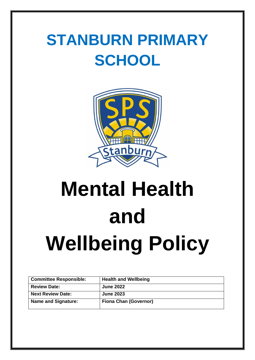# **STANBURN PRIMARY SCHOOL**



# **Mental Health and Wellbeing Policy**

| <b>Committee Responsible:</b> | <b>Health and Wellbeing</b>  |
|-------------------------------|------------------------------|
| <b>Review Date:</b>           | <b>June 2022</b>             |
| <b>Next Review Date:</b>      | <b>June 2023</b>             |
| <b>Name and Signature:</b>    | <b>Fiona Chan (Governor)</b> |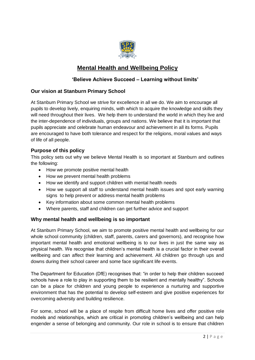

# **Mental Health and Wellbeing Policy**

# **'Believe Achieve Succeed – Learning without limits'**

# **Our vision at Stanburn Primary School**

At Stanburn Primary School we strive for excellence in all we do. We aim to encourage all pupils to develop lively, enquiring minds, with which to acquire the knowledge and skills they will need throughout their lives. We help them to understand the world in which they live and the inter-dependence of individuals, groups and nations. We believe that it is important that pupils appreciate and celebrate human endeavour and achievement in all its forms. Pupils are encouraged to have both tolerance and respect for the religions, moral values and ways of life of all people.

# **Purpose of this policy**

This policy sets out why we believe Mental Health is so important at Stanburn and outlines the following:

- How we promote positive mental health
- How we prevent mental health problems
- How we identify and support children with mental health needs
- How we support all staff to understand mental health issues and spot early warning signs to help prevent or address mental health problems
- Key information about some common mental health problems
- Where parents, staff and children can get further advice and support

# **Why mental health and wellbeing is so important**

At Stanburn Primary School, we aim to promote positive mental health and wellbeing for our whole school community (children, staff, parents, carers and governors), and recognise how important mental health and emotional wellbeing is to our lives in just the same way as physical health. We recognise that children's mental health is a crucial factor in their overall wellbeing and can affect their learning and achievement. All children go through ups and downs during their school career and some face significant life events.

The Department for Education (DfE) recognises that: "in order to help their children succeed schools have a role to play in supporting them to be resilient and mentally healthy". Schools can be a place for children and young people to experience a nurturing and supportive environment that has the potential to develop self-esteem and give positive experiences for overcoming adversity and building resilience.

For some, school will be a place of respite from difficult home lives and offer positive role models and relationships, which are critical in promoting children's wellbeing and can help engender a sense of belonging and community. Our role in school is to ensure that children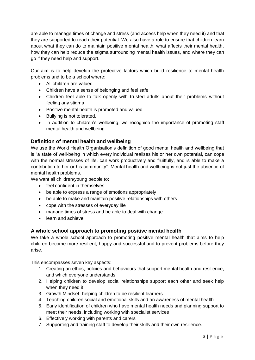are able to manage times of change and stress (and access help when they need it) and that they are supported to reach their potential. We also have a role to ensure that children learn about what they can do to maintain positive mental health, what affects their mental health, how they can help reduce the stigma surrounding mental health issues, and where they can go if they need help and support.

Our aim is to help develop the protective factors which build resilience to mental health problems and to be a school where:

- All children are valued
- Children have a sense of belonging and feel safe
- Children feel able to talk openly with trusted adults about their problems without feeling any stigma
- Positive mental health is promoted and valued
- Bullying is not tolerated.
- In addition to children's wellbeing, we recognise the importance of promoting staff mental health and wellbeing

# **Definition of mental health and wellbeing**

We use the World Health Organisation's definition of good mental health and wellbeing that is "a state of well-being in which every individual realises his or her own potential, can cope with the normal stresses of life, can work productively and fruitfully, and is able to make a contribution to her or his community". Mental health and wellbeing is not just the absence of mental health problems.

We want all children/young people to:

- feel confident in themselves
- be able to express a range of emotions appropriately
- be able to make and maintain positive relationships with others
- cope with the stresses of everyday life
- manage times of stress and be able to deal with change
- learn and achieve

# **A whole school approach to promoting positive mental health**

We take a whole school approach to promoting positive mental health that aims to help children become more resilient, happy and successful and to prevent problems before they arise.

This encompasses seven key aspects:

- 1. Creating an ethos, policies and behaviours that support mental health and resilience, and which everyone understands
- 2. Helping children to develop social relationships support each other and seek help when they need it
- 3. Growth Mindset- helping children to be resilient learners
- 4. Teaching children social and emotional skills and an awareness of mental health
- 5. Early identification of children who have mental health needs and planning support to meet their needs, including working with specialist services
- 6. Effectively working with parents and carers
- 7. Supporting and training staff to develop their skills and their own resilience.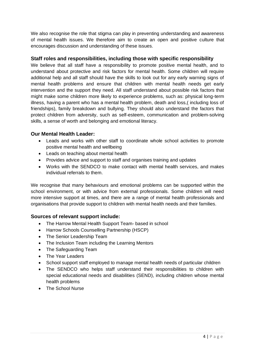We also recognise the role that stigma can play in preventing understanding and awareness of mental health issues. We therefore aim to create an open and positive culture that encourages discussion and understanding of these issues.

# **Staff roles and responsibilities, including those with specific responsibility**

We believe that all staff have a responsibility to promote positive mental health, and to understand about protective and risk factors for mental health. Some children will require additional help and all staff should have the skills to look out for any early warning signs of mental health problems and ensure that children with mental health needs get early intervention and the support they need. All staff understand about possible risk factors that might make some children more likely to experience problems, such as: physical long-term illness, having a parent who has a mental health problem, death and loss,( including loss of friendships), family breakdown and bullying. They should also understand the factors that protect children from adversity, such as self-esteem, communication and problem-solving skills, a sense of worth and belonging and emotional literacy.

# **Our Mental Health Leader:**

- Leads and works with other staff to coordinate whole school activities to promote positive mental health and wellbeing
- Leads on teaching about mental health
- Provides advice and support to staff and organises training and updates
- Works with the SENDCO to make contact with mental health services, and makes individual referrals to them.

We recognise that many behaviours and emotional problems can be supported within the school environment, or with advice from external professionals. Some children will need more intensive support at times, and there are a range of mental health professionals and organisations that provide support to children with mental health needs and their families.

# **Sources of relevant support include:**

- The Harrow Mental Health Support Team- based in school
- Harrow Schools Counselling Partnership (HSCP)
- The Senior Leadership Team
- The Inclusion Team including the Learning Mentors
- The Safeguarding Team
- The Year Leaders
- School support staff employed to manage mental health needs of particular children
- The SENDCO who helps staff understand their responsibilities to children with special educational needs and disabilities (SEND), including children whose mental health problems
- The School Nurse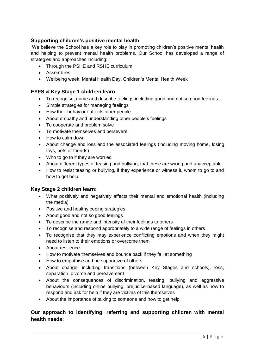# **Supporting children's positive mental health**

We believe the School has a key role to play in promoting children's positive mental health and helping to prevent mental health problems. Our School has developed a range of strategies and approaches including:

- Through the PSHE and RSHE curriculum
- Assemblies
- Wellbeing week, Mental Health Day, Children's Mental Health Week

# **EYFS & Key Stage 1 children learn:**

- To recognise, name and describe feelings including good and not so good feelings
- Simple strategies for managing feelings
- How their behaviour affects other people
- About empathy and understanding other people's feelings
- To cooperate and problem solve
- To motivate themselves and persevere
- How to calm down
- About change and loss and the associated feelings (including moving home, losing toys, pets or friends)
- Who to go to if they are worried
- About different types of teasing and bullying, that these are wrong and unacceptable
- How to resist teasing or bullying, if they experience or witness it, whom to go to and how to get help.

# **Key Stage 2 children learn:**

- What positively and negatively affects their mental and emotional health (including the media)
- Positive and healthy coping strategies
- About good and not so good feelings
- To describe the range and intensity of their feelings to others
- To recognise and respond appropriately to a wide range of feelings in others
- To recognise that they may experience conflicting emotions and when they might need to listen to their emotions or overcome them
- About resilience
- How to motivate themselves and bounce back if they fail at something
- How to empathise and be supportive of others
- About change, including transitions (between Key Stages and schools), loss, separation, divorce and bereavement
- About the consequences of discrimination, teasing, bullying and aggressive behaviours (including online bullying, prejudice-based language), as well as how to respond and ask for help if they are victims of this themselves
- About the importance of talking to someone and how to get help.

# **Our approach to identifying, referring and supporting children with mental health needs:**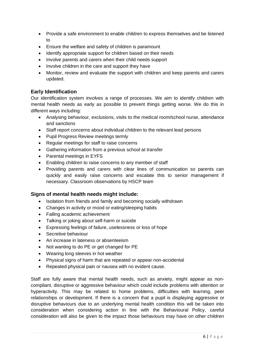- Provide a safe environment to enable children to express themselves and be listened to
- Ensure the welfare and safety of children is paramount
- Identify appropriate support for children based on their needs
- Involve parents and carers when their child needs support
- Involve children in the care and support they have
- Monitor, review and evaluate the support with children and keep parents and carers updated.

# **Early Identification**

Our identification system involves a range of processes. We aim to identify children with mental health needs as early as possible to prevent things getting worse. We do this in different ways including:

- Analysing behaviour, exclusions, visits to the medical room/school nurse, attendance and sanctions
- Staff report concerns about individual children to the relevant lead persons
- Pupil Progress Review meetings termly
- Regular meetings for staff to raise concerns
- Gathering information from a previous school at transfer
- Parental meetings in EYFS
- Enabling children to raise concerns to any member of staff
- Providing parents and carers with clear lines of communication so parents can quickly and easily raise concerns and escalate this to senior management if necessary. Classroom observations by HSCP team

# **Signs of mental health needs might include:**

- Isolation from friends and family and becoming socially withdrawn
- Changes in activity or mood or eating/sleeping habits
- Falling academic achievement
- Talking or joking about self-harm or suicide
- Expressing feelings of failure, uselessness or loss of hope
- Secretive behaviour
- An increase in lateness or absenteeism
- Not wanting to do PE or get changed for PE
- Wearing long sleeves in hot weather
- Physical signs of harm that are repeated or appear non-accidental
- Repeated physical pain or nausea with no evident cause.

Staff are fully aware that mental health needs, such as anxiety, might appear as noncompliant, disruptive or aggressive behaviour which could include problems with attention or hyperactivity. This may be related to home problems, difficulties with learning, peer relationships or development. If there is a concern that a pupil is displaying aggressive or disruptive behaviours due to an underlying mental health condition this will be taken into consideration when considering action in line with the Behavioural Policy, careful consideration will also be given to the impact those behaviours may have on other children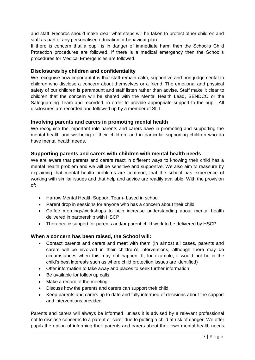and staff. Records should make clear what steps will be taken to protect other children and staff as part of any personalised education or behaviour plan

If there is concern that a pupil is in danger of immediate harm then the School's Child Protection procedures are followed. If there is a medical emergency then the School's procedures for Medical Emergencies are followed.

# **Disclosures by children and confidentiality**

We recognise how important it is that staff remain calm, supportive and non-judgemental to children who disclose a concern about themselves or a friend. The emotional and physical safety of our children is paramount and staff listen rather than advise. Staff make it clear to children that the concern will be shared with the Mental Health Lead, SENDCO or the Safeguarding Team and recorded, in order to provide appropriate support to the pupil. All disclosures are recorded and followed up by a member of SLT.

# **Involving parents and carers in promoting mental health**

We recognise the important role parents and carers have in promoting and supporting the mental health and wellbeing of their children, and in particular supporting children who do have mental health needs.

# **Supporting parents and carers with children with mental health needs**

We are aware that parents and carers react in different ways to knowing their child has a mental health problem and we will be sensitive and supportive. We also aim to reassure by explaining that mental health problems are common, that the school has experience of working with similar issues and that help and advice are readily available. With the provision of:

- Harrow Mental Health Support Team- based in school
- Parent drop in sessions for anyone who has a concern about their child
- Coffee mornings/workshops to help increase understanding about mental health delivered in partnership with HSCP
- Therapeutic support for parents and/or parent child work to be delivered by HSCP

# **When a concern has been raised, the School will:**

- Contact parents and carers and meet with them (In almost all cases, parents and carers will be involved in their children's interventions, although there may be circumstances when this may not happen, If, for example, it would not be in the child's best interests such as where child protection issues are identified)
- Offer information to take away and places to seek further information
- Be available for follow up calls
- Make a record of the meeting
- Discuss how the parents and carers can support their child
- Keep parents and carers up to date and fully informed of decisions about the support and interventions provided

Parents and carers will always be informed, unless it is advised by a relevant professional not to disclose concerns to a parent or carer due to putting a child at risk of danger. We offer pupils the option of informing their parents and carers about their own mental health needs